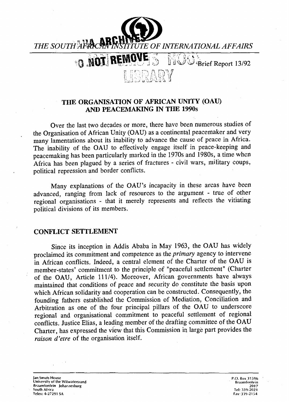

## **THE ORGANISATION OF AFRICAN UNITY (OAU) AND PEACEMAKING IN THE 1990s**

Over the last two decades or more, there have been numerous studies of the Organisation of African Unity (OAU) as a continental peacemaker and very many lamentations about its inability to advance the cause of peace in Africa. The inability of the OAU to effectively engage itself in peace-keeping and peacemaking has been particularly marked in the 1970s and 1980s, a time when Africa has been plagued by a series of fractures - civil wars, military coups, political repression and border conflicts.

Many explanations of the OAU's incapacity in these areas have been advanced, ranging from lack of resources to the argument - true of other regional organisations - that it merely represents and reflects the vitiating political divisions of its members.

## **CONFLICT SETTLEMENT**

Since its inception in Addis Ababa in May 1963, the OAU has widely proclaimed its commitment and competence as the *primary* agency to intervene in African conflicts. Indeed, a central element of the Charter of the OAU is member-states' commitment to the principle of "peaceful settlement" (Charter of the OAU, Article 111/4). Moreover, African governments have always maintained that conditions of peace and security do constitute the basis upon which African solidarity and cooperation can be constructed. Consequently, the founding fathers established the Commission of Mediation, Conciliation and Arbitration as one of the four principal pillars of the OAU to underscore regional and organisational commitment to peaceful settlement of regional conflicts. Justice Elias, a leading member of the drafting committee of the OAU Charter, has expressed the view that this Commission in large part provides the raison d'etre of the organisation itself.

Jan Smuts House P.O. Box 31596 University of the Witwatersrand Braamfontein Johannesburg 2017 South Africa Tel: 339-2021 Telex: 4-27291 SA Fax:339-2154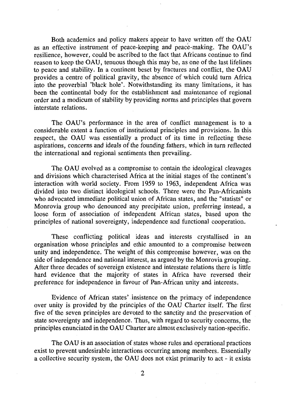Both academics and policy makers appear to have written off the OAU as an effective instrument of peace-keeping and peace-making. The OAU's resilience, however, could be ascribed to the fact that Africans continue to find reason to keep the OAU, tenuous though this may be, as one of the last lifelines to peace and stability. In a continent beset by fractures and conflict, the OAU provides a centre of political gravity, the absence of which could turn Africa into the proverbial 'black hole'. Notwithstanding its many limitations, it has been the continental body for the establishment and maintenance of regional order and a modicum of stability by providing norms and principles that govern interstate relations.

The OAU's performance in the area of conflict management is to a considerable extent a function of institutional principles and provisions. In this respect, the OAU was essentially a product of its time in reflecting these aspirations, concerns and ideals of the founding fathers, which in turn reflected the international and regional sentiments then prevailing.

The OAU evolved as a compromise to contain the ideological cleavages and divisions which characterised Africa at the initial stages of the continent's interaction with world society. From 1959 to 1963, independent Africa was divided into two distinct ideological schools. There were the Pan-Africanists who advocated immediate political union of African states, and the "statists" or Monrovia group who denounced any precipitate union, preferring instead, a loose form of association of independent African states, based upon the principles of national sovereignty, independence and functional cooperation.

These conflicting political ideas and interests crystallised in an organisation whose principles and ethic amounted to a compromise between unity and independence. The weight of this compromise however, was on the side of independence and national interest, as argued by the Monrovia grouping. After three decades of sovereign existence and interstate relations there is little hard evidence that the majority of states in Africa have reversed their preference for independence in favour of Pan-African unity and interests.

Evidence of African states' insistence on the primacy of independence over unity is provided by the principles of the OAU Charter itself. The first five of the seven principles are devoted to the sanctity and the preservation of state sovereignty and independence. Thus, with regard to security concerns, the principles enunciated in the OAU Charter are almost exclusively nation-specific.

The OAU is an association of states whose rules and operational practices exist to prevent undesirable interactions occurring among members. Essentially a collective security system, the OAU does not exist primarily to act - it exists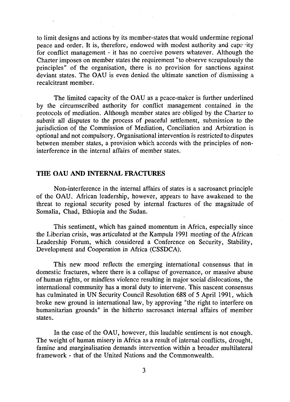to limit designs and actions by its member-states that would undermine regional peace and order. It is, therefore, endowed with modest authority and capacity for conflict management - it has no coercive powers whatever. Although the Charter imposes on member states the requirement "to observe scrupulously the principles" of the organisation, there is no provision for sanctions against deviant states. The OAU is even denied the ultimate sanction of dismissing a recalcitrant member.

The limited capacity of the OAU as a peace-maker is further underlined by the circumscribed authority for conflict management contained in the protocols of mediation. Although member states are obliged by the Charter to submit all disputes to the process of peaceful settlement, submission to the jurisdiction of the Commission of Mediation, Conciliation and Arbitration is optional and not compulsory. Organisational intervention is restricted to disputes between member states, a provision which accords with the principles of noninterference in the internal affairs of member states.

## THE OAU AND INTERNAL FRACTURES

Non-interference in the internal affairs of states is a sacrosanct principle of the OAU. African leadership, however, appears to have awakened to the threat to regional security posed by internal fractures of the magnitude of Somalia, Chad, Ethiopia and the Sudan.

This sentiment, which has gained momentum in Africa, especially since the Liberian crisis, was articulated at the Kampula 1991 meeting of the African Leadership Forum, which considered a Conference on Security, Stability, Development and Cooperation in Africa (CSSDCA).

This new mood reflects the emerging international consensus that in domestic fractures, where there is a collapse of governance, or massive abuse of human rights, or mindless violence resulting in major social dislocations, the international community has a moral duty to intervene. This nascent consensus has culminated in UN Security Council Resolution 688 of 5 April 1991, which broke new ground in international law, by approving "the right to interfere on humanitarian grounds" in the hitherto sacrosanct internal affairs of member states.

In the case of the OAU, however, this laudable sentiment is not enough. The weight of human misery in Africa as a result of internal conflicts, drought, famine and marginalisation demands intervention within a broader multilateral framework - that of the United Nations and the Commonwealth.